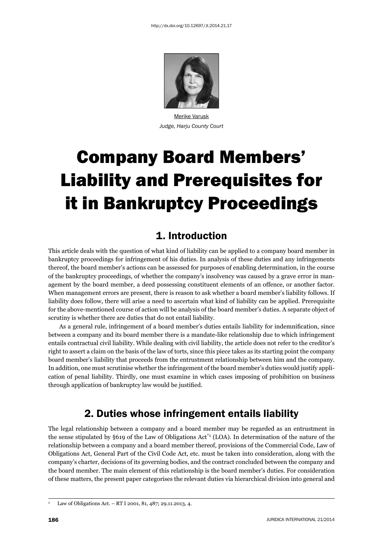

Merike Varusk *Judge, Harju County Court*

# Company Board Members' Liability and Prerequisites for it in Bankruptcy Proceedings

# 1. Introduction

This article deals with the question of what kind of liability can be applied to a company board member in bankruptcy proceedings for infringement of his duties. In analysis of these duties and any infringements thereof, the board member's actions can be assessed for purposes of enabling determination, in the course of the bankruptcy proceedings, of whether the company's insolvency was caused by a grave error in management by the board member, a deed possessing constituent elements of an offence, or another factor. When management errors are present, there is reason to ask whether a board member's liability follows. If liability does follow, there will arise a need to ascertain what kind of liability can be applied. Prerequisite for the above-mentioned course of action will be analysis of the board member's duties. A separate object of scrutiny is whether there are duties that do not entail liability.

As a general rule, infringement of a board member's duties entails liability for indemnification, since between a company and its board member there is a mandate-like relationship due to which infringement entails contractual civil liability. While dealing with civil liability, the article does not refer to the creditor's right to assert a claim on the basis of the law of torts, since this piece takes as its starting point the company board member's liability that proceeds from the entrustment relationship between him and the company. In addition, one must scrutinise whether the infringement of the board member's duties would justify application of penal liability. Thirdly, one must examine in which cases imposing of prohibition on business through application of bankruptcy law would be justified.

# 2. Duties whose infringement entails liability

The legal relationship between a company and a board member may be regarded as an entrustment in the sense stipulated by §619 of the Law of Obligations  $Act^*$ <sup>1</sup> (LOA). In determination of the nature of the relationship between a company and a board member thereof, provisions of the Commercial Code, Law of Obligations Act, General Part of the Civil Code Act, etc. must be taken into consideration, along with the company's charter, decisions of its governing bodies, and the contract concluded between the company and the board member. The main element of this relationship is the board member's duties. For consideration of these matters, the present paper categorises the relevant duties via hierarchical division into general and

<sup>1</sup> Law of Obligations Act. – RT I 2001, 81, 487; 29.11.2013, 4.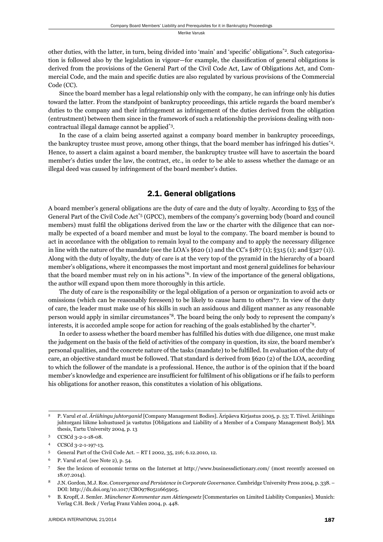other duties, with the latter, in turn, being divided into 'main' and 'specific' obligations<sup>\*2</sup>. Such categorisation is followed also by the legislation in vigour—for example, the classification of general obligations is derived from the provisions of the General Part of the Civil Code Act, Law of Obligations Act, and Commercial Code, and the main and specific duties are also regulated by various provisions of the Commercial Code (CC).

Since the board member has a legal relationship only with the company, he can infringe only his duties toward the latter. From the standpoint of bankruptcy proceedings, this article regards the board member's duties to the company and their infringement as infringement of the duties derived from the obligation (entrustment) between them since in the framework of such a relationship the provisions dealing with noncontractual illegal damage cannot be applied\*3.

In the case of a claim being asserted against a company board member in bankruptcy proceedings, the bankruptcy trustee must prove, among other things, that the board member has infringed his duties\*4. Hence, to assert a claim against a board member, the bankruptcy trustee will have to ascertain the board member's duties under the law, the contract, etc., in order to be able to assess whether the damage or an illegal deed was caused by infringement of the board member's duties.

## 2.1. General obligations

A board member's general obligations are the duty of care and the duty of loyalty. According to §35 of the General Part of the Civil Code Act\*5 (GPCC), members of the company's governing body (board and council members) must fulfil the obligations derived from the law or the charter with the diligence that can normally be expected of a board member and must be loyal to the company. The board member is bound to act in accordance with the obligation to remain loyal to the company and to apply the necessary diligence in line with the nature of the mandate (see the LOA's  $\S620$  (1) and the CC's  $\S187$  (1);  $\S315$  (1); and  $\S227$  (1)). Along with the duty of loyalty, the duty of care is at the very top of the pyramid in the hierarchy of a board member's obligations, where it encompasses the most important and most general guidelines for behaviour that the board member must rely on in his actions\*6. In view of the importance of the general obligations, the author will expand upon them more thoroughly in this article.

The duty of care is the responsibility or the legal obligation of a person or organization to avoid acts or omissions (which can be reasonably foreseen) to be likely to cause harm to others\*7. In view of the duty of care, the leader must make use of his skills in such an assiduous and diligent manner as any reasonable person would apply in similar circumstances\*8. The board being the only body to represent the company's interests, it is accorded ample scope for action for reaching of the goals established by the charter\*9.

In order to assess whether the board member has fulfilled his duties with due diligence, one must make the judgement on the basis of the field of activities of the company in question, its size, the board member's personal qualities, and the concrete nature of the tasks (mandate) to be fulfi lled. In evaluation of the duty of care, an objective standard must be followed. That standard is derived from §620 (2) of the LOA, according to which the follower of the mandate is a professional. Hence, the author is of the opinion that if the board member's knowledge and experience are insufficient for fulfilment of his obligations or if he fails to perform his obligations for another reason, this constitutes a violation of his obligations.

<sup>2</sup> P. Varul *et al*. *Äriühingu juhtorganid* [Company Management Bodies]. Äripäeva Kirjastus 2005, p. 53; T. Tiivel. Äriühingu juhtorgani liikme kohustused ja vastutus [Obligations and Liability of a Member of a Company Management Body]. MA thesis, Tartu University 2004, p. 13

<sup>3</sup> CCSCd 3-2-1-18-08.

<sup>4</sup> CCSCd 3-2-1-197-13.

<sup>5</sup> General Part of the Civil Code Act. – RT I 2002, 35, 216; 6.12.2010, 12.

<sup>6</sup> P. Varul *et al*. (see Note 2), p. 54.

<sup>7</sup> See the lexicon of economic terms on the Internet at http://www.businessdictionary.com/ (most recently accessed on 18.07.2014).

<sup>8</sup> J.N. Gordon, M.J. Roe. *Convergence and Persistence in Corporate Governance*. Cambridge University Press 2004, p. 338. – DOI: http://dx.doi.org/10.1017/CBO9780511665905.

<sup>9</sup> B. Kropff, J. Semler. *Münchener Kommentar zum Aktiengesetz* [Commentaries on Limited Liability Companies]. Munich: Verlag C.H. Beck / Verlag Franz Vahlen 2004, p. 448.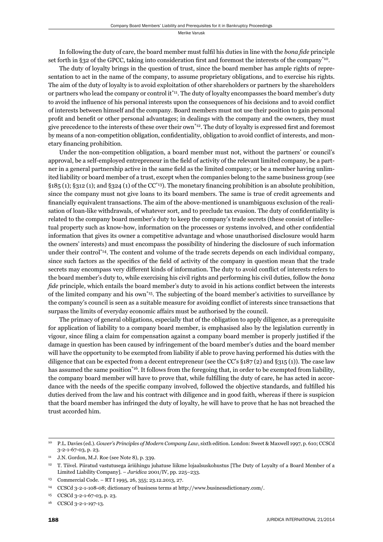In following the duty of care, the board member must fulfi l his duties in line with the *bona fi de* principle set forth in §32 of the GPCC, taking into consideration first and foremost the interests of the company<sup>\*10</sup>.

The duty of loyalty brings in the question of trust, since the board member has ample rights of representation to act in the name of the company, to assume proprietary obligations, and to exercise his rights. The aim of the duty of loyalty is to avoid exploitation of other shareholders or partners by the shareholders or partners who lead the company or control it<sup>\*11</sup>. The duty of loyalty encompasses the board member's duty to avoid the influence of his personal interests upon the consequences of his decisions and to avoid conflict of interests between himself and the company. Board members must not use their position to gain personal profit and benefit or other personal advantages; in dealings with the company and the owners, they must give precedence to the interests of these over their own<sup>\*12</sup>. The duty of loyalty is expressed first and foremost by means of a non-competition obligation, confidentiality, obligation to avoid conflict of interests, and monetary financing prohibition.

Under the non-competition obligation, a board member must not, without the partners' or council's approval, be a self-employed entrepreneur in the field of activity of the relevant limited company, be a partner in a general partnership active in the same field as the limited company; or be a member having unlimited liability or board member of a trust, except when the companies belong to the same business group (see  $\S185$  (1);  $\S312$  (1); and  $\S324$  (1) of the CC<sup>\*13</sup>). The monetary financing prohibition is an absolute prohibition, since the company must not give loans to its board members. The same is true of credit agreements and financially equivalent transactions. The aim of the above-mentioned is unambiguous exclusion of the realisation of loan-like withdrawals, of whatever sort, and to preclude tax evasion. The duty of confidentiality is related to the company board member's duty to keep the company's trade secrets (these consist of intellectual property such as know-how, information on the processes or systems involved, and other confidential information that gives its owner a competitive advantage and whose unauthorised disclosure would harm the owners' interests) and must encompass the possibility of hindering the disclosure of such information under their control\*14. The content and volume of the trade secrets depends on each individual company, since such factors as the specifics of the field of activity of the company in question mean that the trade secrets may encompass very different kinds of information. The duty to avoid conflict of interests refers to the board member's duty to, while exercising his civil rights and performing his civil duties, follow the *bona fide* principle, which entails the board member's duty to avoid in his actions conflict between the interests of the limited company and his own\*15. The subjecting of the board member's activities to surveillance by the company's council is seen as a suitable measure for avoiding conflict of interests since transactions that surpass the limits of everyday economic affairs must be authorised by the council.

The primacy of general obligations, especially that of the obligation to apply diligence, as a prerequisite for application of liability to a company board member, is emphasised also by the legislation currently in vigour, since filing a claim for compensation against a company board member is properly justified if the damage in question has been caused by infringement of the board member's duties and the board member will have the opportunity to be exempted from liability if able to prove having performed his duties with the diligence that can be expected from a decent entrepreneur (see the CC's §187 (2) and §315 (1)). The case law has assumed the same position<sup>\*16</sup>. It follows from the foregoing that, in order to be exempted from liability, the company board member will have to prove that, while fulfilling the duty of care, he has acted in accordance with the needs of the specific company involved, followed the objective standards, and fulfilled his duties derived from the law and his contract with diligence and in good faith, whereas if there is suspicion that the board member has infringed the duty of loyalty, he will have to prove that he has not breached the trust accorded him.

<sup>10</sup> P.L. Davies (ed.). *Gower's Principles of Modern Company Law*, sixth edition. London: Sweet & Maxwell 1997, p. 610; CCSCd 3-2-1-67-03, p. 23.

<sup>11</sup> J.N. Gordon, M.J. Roe (see Note 8), p. 339.

<sup>12</sup> T. Tiivel. Piiratud vastutusega äriühingu juhatuse liikme lojaalsuskohustus [The Duty of Loyalty of a Board Member of a Limited Liability Company]. – *Juridica* 2001/IV, pp. 225–233.

<sup>13</sup> Commercial Code. – RT I 1995, 26, 355; 23.12.2013, 27.

<sup>14</sup> CCSCd 3-2-1-108-08; dictionary of business terms at http://www.businessdictionary.com/.

<sup>15</sup> CCSCd 3-2-1-67-03, p. 23.

<sup>16</sup> CCSCd 3-2-1-197-13.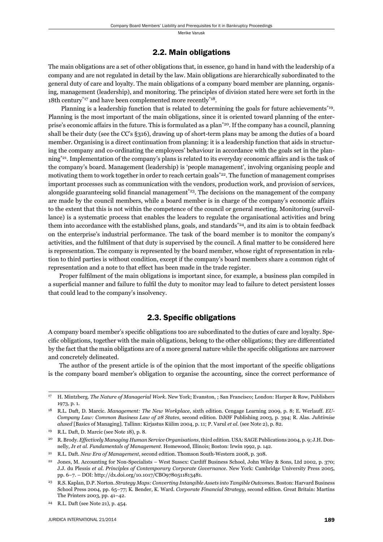#### 2.2. Main obligations

The main obligations are a set of other obligations that, in essence, go hand in hand with the leadership of a company and are not regulated in detail by the law. Main obligations are hierarchically subordinated to the general duty of care and loyalty. The main obligations of a company board member are planning, organising, management (leadership), and monitoring. The principles of division stated here were set forth in the 18th century<sup>\*17</sup> and have been complemented more recently<sup>\*18</sup>.

Planning is a leadership function that is related to determining the goals for future achievements<sup>\*19</sup>. Planning is the most important of the main obligations, since it is oriented toward planning of the enterprise's economic affairs in the future. This is formulated as a plan\*20. If the company has a council, planning shall be their duty (see the CC's §316), drawing up of short-term plans may be among the duties of a board member. Organising is a direct continuation from planning: it is a leadership function that aids in structuring the company and co-ordinating the employees' behaviour in accordance with the goals set in the planning\*21. Implementation of the company's plans is related to its everyday economic affairs and is the task of the company's board. Management (leadership) is 'people management', involving organising people and motivating them to work together in order to reach certain goals<sup>\*22</sup>. The function of management comprises important processes such as communication with the vendors, production work, and provision of services, alongside guaranteeing solid financial management<sup> $23$ </sup>. The decisions on the management of the company are made by the council members, while a board member is in charge of the company's economic affairs to the extent that this is not within the competence of the council or general meeting. Monitoring (surveillance) is a systematic process that enables the leaders to regulate the organisational activities and bring them into accordance with the established plans, goals, and standards\*24, and its aim is to obtain feedback on the enterprise's industrial performance. The task of the board member is to monitor the company's activities, and the fulfilment of that duty is supervised by the council. A final matter to be considered here is representation. The company is represented by the board member, whose right of representation in relation to third parties is without condition, except if the company's board members share a common right of representation and a note to that effect has been made in the trade register.

Proper fulfilment of the main obligations is important since, for example, a business plan compiled in a superficial manner and failure to fulfil the duty to monitor may lead to failure to detect persistent losses that could lead to the company's insolvency.

#### 2.3. Specific obligations

A company board member's specific obligations too are subordinated to the duties of care and loyalty. Specific obligations, together with the main obligations, belong to the other obligations; they are differentiated by the fact that the main obligations are of a more general nature while the specific obligations are narrower and concretely delineated.

The author of the present article is of the opinion that the most important of the specific obligations is the company board member's obligation to organise the accounting, since the correct performance of

<sup>17</sup> H. Mintzberg. *The Nature of Managerial Work*. New York; Evanston, ; San Francisco; London: Harper & Row, Publishers 1973, p. 1.

<sup>18</sup> R.L. Daft, D. Marcic. *Management: The New Workplace*, sixth edition. Cengage Learning 2009, p. 8; E. Werlauff. *EU-Company Law: Common Business Law of 28 States*, second edition. DJØF Publishing 2003, p. 394; R. Alas. *Juhtimise alused* [Basics of Managing]. Tallinn: Kirjastus Külim 2004, p. 11; P. Varul *et al*. (see Note 2), p. 82.

<sup>19</sup> R.L. Daft, D. Marcic (see Note 18), p. 8.

<sup>20</sup> R. Brody. *Effectively Managing Human Service Organisations*, third edition. USA: SAGE Publications 2004, p. 9; J.H. Donnelly, Jr *et al*. *Fundamentals of Management*. Homewood, Illinois; Boston: Irwin 1992, p. 142.

<sup>21</sup> R.L. Daft. *New Era of Management*, second edition. Thomson South-Western 2008, p. 308.

<sup>22</sup> Jones, M. Accounting for Non-Specialists – West Sussex: Cardiff Business School, John Wiley & Sons, Ltd 2002, p. 370; J.J. du Plessis *et al*. *Principles of Contemporary Corporate Governance*. New York: Cambridge University Press 2005, pp. 6–7. – DOI: http://dx.doi.org/10.1017/CBO9780511813481.

<sup>23</sup> R.S. Kaplan, D.P. Norton. *Strategy Maps: Converting Intangible Assets into Tangible Outcomes*. Boston: Harvard Business School Press 2004, pp. 65–77; K. Bender, K. Ward. *Corporate Financial Strategy*, second edition. Great Britain: Martins The Printers 2003, pp. 41–42.

<sup>24</sup> R.L. Daft (see Note 21), p. 454.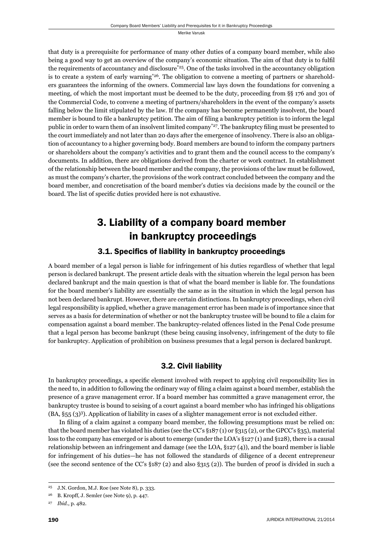that duty is a prerequisite for performance of many other duties of a company board member, while also being a good way to get an overview of the company's economic situation. The aim of that duty is to fulfil the requirements of accountancy and disclosure<sup> $25$ </sup>. One of the tasks involved in the accountancy obligation is to create a system of early warning<sup>\*26</sup>. The obligation to convene a meeting of partners or shareholders guarantees the informing of the owners. Commercial law lays down the foundations for convening a meeting, of which the most important must be deemed to be the duty, proceeding from §§ 176 and 301 of the Commercial Code, to convene a meeting of partners/shareholders in the event of the company's assets falling below the limit stipulated by the law. If the company has become permanently insolvent, the board member is bound to file a bankruptcy petition. The aim of filing a bankruptcy petition is to inform the legal public in order to warn them of an insolvent limited company<sup>\*27</sup>. The bankruptcy filing must be presented to the court immediately and not later than 20 days after the emergence of insolvency. There is also an obligation of accountancy to a higher governing body. Board members are bound to inform the company partners or shareholders about the company's activities and to grant them and the council access to the company's documents. In addition, there are obligations derived from the charter or work contract. In establishment of the relationship between the board member and the company, the provisions of the law must be followed, as must the company's charter, the provisions of the work contract concluded between the company and the board member, and concretisation of the board member's duties via decisions made by the council or the board. The list of specific duties provided here is not exhaustive.

# 3. Liability of a company board member in bankruptcy proceedings

## 3.1. Specifics of liability in bankruptcy proceedings

A board member of a legal person is liable for infringement of his duties regardless of whether that legal person is declared bankrupt. The present article deals with the situation wherein the legal person has been declared bankrupt and the main question is that of what the board member is liable for. The foundations for the board member's liability are essentially the same as in the situation in which the legal person has not been declared bankrupt. However, there are certain distinctions. In bankruptcy proceedings, when civil legal responsibility is applied, whether a grave management error has been made is of importance since that serves as a basis for determination of whether or not the bankruptcy trustee will be bound to file a claim for compensation against a board member. The bankruptcy-related offences listed in the Penal Code presume that a legal person has become bankrupt (these being causing insolvency, infringement of the duty to file for bankruptcy. Application of prohibition on business presumes that a legal person is declared bankrupt.

## 3.2. Civil liability

In bankruptcy proceedings, a specific element involved with respect to applying civil responsibility lies in the need to, in addition to following the ordinary way of filing a claim against a board member, establish the presence of a grave management error. If a board member has committed a grave management error, the bankruptcy trustee is bound to seising of a court against a board member who has infringed his obligations (BA, §55 (3)3). Application of liability in cases of a slighter management error is not excluded either.

In filing of a claim against a company board member, the following presumptions must be relied on: that the board member has violated his duties (see the CC's §187 (1) or §315 (2), or the GPCC's §35), material loss to the company has emerged or is about to emerge (under the LOA's §127 (1) and §128), there is a causal relationship between an infringement and damage (see the LOA,  $\S$ 127(4)), and the board member is liable for infringement of his duties—he has not followed the standards of diligence of a decent entrepreneur (see the second sentence of the CC's §187 (2) and also §315 (2)). The burden of proof is divided in such a

<sup>25</sup> J.N. Gordon, M.J. Roe (see Note 8), p. 333.

<sup>26</sup> B. Kropff, J. Semler (see Note 9), p. 447.

<sup>27</sup> *Ibid*., p. 482.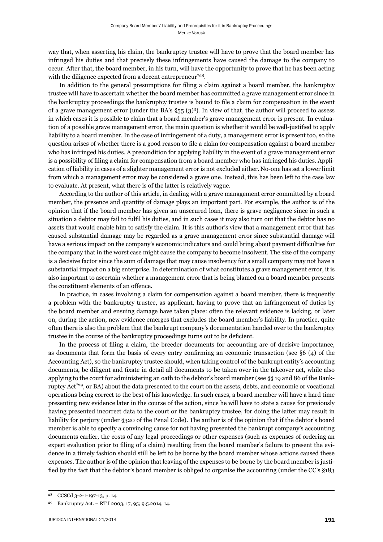way that, when asserting his claim, the bankruptcy trustee will have to prove that the board member has infringed his duties and that precisely these infringements have caused the damage to the company to occur. After that, the board member, in his turn, will have the opportunity to prove that he has been acting with the diligence expected from a decent entrepreneur<sup>\*28</sup>.

In addition to the general presumptions for filing a claim against a board member, the bankruptcy trustee will have to ascertain whether the board member has committed a grave management error since in the bankruptcy proceedings the bankruptcy trustee is bound to file a claim for compensation in the event of a grave management error (under the BA's  $\S55(3)^3$ ). In view of that, the author will proceed to assess in which cases it is possible to claim that a board member's grave management error is present. In evaluation of a possible grave management error, the main question is whether it would be well-justified to apply liability to a board member. In the case of infringement of a duty, a management error is present too, so the question arises of whether there is a good reason to file a claim for compensation against a board member who has infringed his duties. A precondition for applying liability in the event of a grave management error is a possibility of filing a claim for compensation from a board member who has infringed his duties. Application of liability in cases of a slighter management error is not excluded either. No-one has set a lower limit from which a management error may be considered a grave one. Instead, this has been left to the case law to evaluate. At present, what there is of the latter is relatively vague.

According to the author of this article, in dealing with a grave management error committed by a board member, the presence and quantity of damage plays an important part. For example, the author is of the opinion that if the board member has given an unsecured loan, there is grave negligence since in such a situation a debtor may fail to fulfil his duties, and in such cases it may also turn out that the debtor has no assets that would enable him to satisfy the claim. It is this author's view that a management error that has caused substantial damage may be regarded as a grave management error since substantial damage will have a serious impact on the company's economic indicators and could bring about payment difficulties for the company that in the worst case might cause the company to become insolvent. The size of the company is a decisive factor since the sum of damage that may cause insolvency for a small company may not have a substantial impact on a big enterprise. In determination of what constitutes a grave management error, it is also important to ascertain whether a management error that is being blamed on a board member presents the constituent elements of an offence.

In practice, in cases involving a claim for compensation against a board member, there is frequently a problem with the bankruptcy trustee, as applicant, having to prove that an infringement of duties by the board member and ensuing damage have taken place: often the relevant evidence is lacking, or later on, during the action, new evidence emerges that excludes the board member's liability. In practice, quite often there is also the problem that the bankrupt company's documentation handed over to the bankruptcy trustee in the course of the bankruptcy proceedings turns out to be deficient.

In the process of filing a claim, the breeder documents for accounting are of decisive importance, as documents that form the basis of every entry confirming an economic transaction (see  $\S6$  (4) of the Accounting Act), so the bankruptcy trustee should, when taking control of the bankrupt entity's accounting documents, be diligent and fixate in detail all documents to be taken over in the takeover act, while also applying to the court for administering an oath to the debtor's board member (see §§ 19 and 86 of the Bankruptcy Act\*29, or BA) about the data presented to the court on the assets, debts, and economic or vocational operations being correct to the best of his knowledge. In such cases, a board member will have a hard time presenting new evidence later in the course of the action, since he will have to state a cause for previously having presented incorrect data to the court or the bankruptcy trustee, for doing the latter may result in liability for perjury (under §320 of the Penal Code). The author is of the opinion that if the debtor's board member is able to specify a convincing cause for not having presented the bankrupt company's accounting documents earlier, the costs of any legal proceedings or other expenses (such as expenses of ordering an expert evaluation prior to filing of a claim) resulting from the board member's failure to present the evidence in a timely fashion should still be left to be borne by the board member whose actions caused these expenses. The author is of the opinion that leaving of the expenses to be borne by the board member is justified by the fact that the debtor's board member is obliged to organise the accounting (under the CC's §183

<sup>28</sup> CCSCd 3-2-1-197-13, p. 14.

<sup>29</sup> Bankruptcy Act. – RT I 2003, 17, 95; 9.5.2014, 14.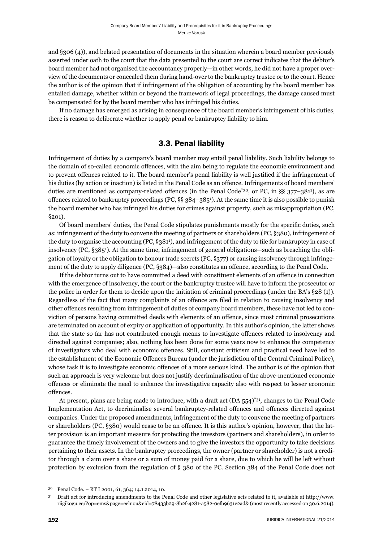and §306 (4)), and belated presentation of documents in the situation wherein a board member previously asserted under oath to the court that the data presented to the court are correct indicates that the debtor's board member had not organised the accountancy properly—in other words, he did not have a proper overview of the documents or concealed them during hand-over to the bankruptcy trustee or to the court. Hence the author is of the opinion that if infringement of the obligation of accounting by the board member has entailed damage, whether within or beyond the framework of legal proceedings, the damage caused must be compensated for by the board member who has infringed his duties.

If no damage has emerged as arising in consequence of the board member's infringement of his duties, there is reason to deliberate whether to apply penal or bankruptcy liability to him.

### 3.3. Penal liability

Infringement of duties by a company's board member may entail penal liability. Such liability belongs to the domain of so-called economic offences, with the aim being to regulate the economic environment and to prevent offences related to it. The board member's penal liability is well justified if the infringement of his duties (by action or inaction) is listed in the Penal Code as an offence. Infringements of board members' duties are mentioned as company-related offences (in the Penal Code<sup>\*30</sup>, or PC, in §§ 377–381<sup>1</sup>), as are offences related to bankruptcy proceedings (PC, §§ 384–3851 ). At the same time it is also possible to punish the board member who has infringed his duties for crimes against property, such as misappropriation (PC, §201).

Of board members' duties, the Penal Code stipulates punishments mostly for the specifi c duties, such as: infringement of the duty to convene the meeting of partners or shareholders (PC, §380), infringement of the duty to organise the accounting (PC, §381<sup>1</sup>), and infringement of the duty to file for bankruptcy in case of insolvency (PC, §3851 ). At the same time, infringement of general obligations—such as breaching the obligation of loyalty or the obligation to honour trade secrets (PC, §377) or causing insolvency through infringement of the duty to apply diligence (PC, §384)—also constitutes an offence, according to the Penal Code.

If the debtor turns out to have committed a deed with constituent elements of an offence in connection with the emergence of insolvency, the court or the bankruptcy trustee will have to inform the prosecutor or the police in order for them to decide upon the initiation of criminal proceedings (under the BA's §28 (1)). Regardless of the fact that many complaints of an offence are filed in relation to causing insolvency and other offences resulting from infringement of duties of company board members, these have not led to conviction of persons having committed deeds with elements of an offence, since most criminal prosecutions are terminated on account of expiry or application of opportunity. In this author's opinion, the latter shows that the state so far has not contributed enough means to investigate offences related to insolvency and directed against companies; also, nothing has been done for some years now to enhance the competency of investigators who deal with economic offences. Still, constant criticism and practical need have led to the establishment of the Economic Offences Bureau (under the jurisdiction of the Central Criminal Police), whose task it is to investigate economic offences of a more serious kind. The author is of the opinion that such an approach is very welcome but does not justify decriminalisation of the above-mentioned economic offences or eliminate the need to enhance the investigative capacity also with respect to lesser economic offences.

At present, plans are being made to introduce, with a draft act (DA 554)\*31, changes to the Penal Code Implementation Act, to decriminalise several bankruptcy-related offences and offences directed against companies. Under the proposed amendments, infringement of the duty to convene the meeting of partners or shareholders (PC, §380) would cease to be an offence. It is this author's opinion, however, that the latter provision is an important measure for protecting the investors (partners and shareholders), in order to guarantee the timely involvement of the owners and to give the investors the opportunity to take decisions pertaining to their assets. In the bankruptcy proceedings, the owner (partner or shareholder) is not a creditor through a claim over a share or a sum of money paid for a share, due to which he will be left without protection by exclusion from the regulation of § 380 of the PC. Section 384 of the Penal Code does not

<sup>30</sup> Penal Code. – RT I 2001, 61, 364; 14.1.2014, 10.

<sup>31</sup> Draft act for introducing amendments to the Penal Code and other legislative acts related to it, available at http://www. riigikogu.ee/?op=ems&page=eelnou&eid=78433b29-8b2f-4281-a582-0efb9631e2ad& (most recently accessed on 30.6.2014).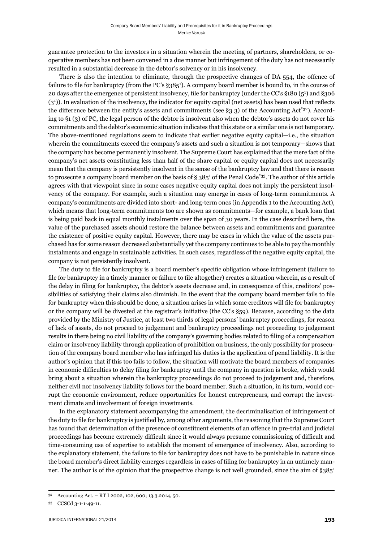guarantee protection to the investors in a situation wherein the meeting of partners, shareholders, or cooperative members has not been convened in a due manner but infringement of the duty has not necessarily resulted in a substantial decrease in the debtor's solvency or in his insolvency.

There is also the intention to eliminate, through the prospective changes of DA 554, the offence of failure to file for bankruptcy (from the PC's §385<sup>1</sup>). A company board member is bound to, in the course of 20 days after the emergence of persistent insolvency, file for bankruptcy (under the CC's §180 (5<sup>1</sup>) and §306 (3<sup>1</sup>)). In evaluation of the insolvency, the indicator for equity capital (net assets) has been used that reflects the difference between the entity's assets and commitments (see  $\S$ 3 3) of the Accounting Act<sup>\*32</sup>). According to §1 (3) of PC, the legal person of the debtor is insolvent also when the debtor's assets do not cover his commitments and the debtor's economic situation indicates that this state or a similar one is not temporary. The above-mentioned regulations seem to indicate that earlier negative equity capital—i.e., the situation wherein the commitments exceed the company's assets and such a situation is not temporary—shows that the company has become permanently insolvent. The Supreme Court has explained that the mere fact of the company's net assets constituting less than half of the share capital or equity capital does not necessarily mean that the company is persistently insolvent in the sense of the bankruptcy law and that there is reason to prosecute a company board member on the basis of § 385<sup>1</sup> of the Penal Code<sup>\*33</sup>. The author of this article agrees with that viewpoint since in some cases negative equity capital does not imply the persistent insolvency of the company. For example, such a situation may emerge in cases of long-term commitments. A company's commitments are divided into short- and long-term ones (in Appendix 1 to the Accounting Act), which means that long-term commitments too are shown as commitments—for example, a bank loan that is being paid back in equal monthly instalments over the span of 30 years. In the case described here, the value of the purchased assets should restore the balance between assets and commitments and guarantee the existence of positive equity capital. However, there may be cases in which the value of the assets purchased has for some reason decreased substantially yet the company continues to be able to pay the monthly instalments and engage in sustainable activities. In such cases, regardless of the negative equity capital, the company is not persistently insolvent.

The duty to file for bankruptcy is a board member's specific obligation whose infringement (failure to file for bankruptcy in a timely manner or failure to file altogether) creates a situation wherein, as a result of the delay in filing for bankruptcy, the debtor's assets decrease and, in consequence of this, creditors' possibilities of satisfying their claims also diminish. In the event that the company board member fails to file for bankruptcy when this should be done, a situation arises in which some creditors will file for bankruptcy or the company will be divested at the registrar's initiative (the CC's §59). Because, according to the data provided by the Ministry of Justice, at least two thirds of legal persons' bankruptcy proceedings, for reason of lack of assets, do not proceed to judgement and bankruptcy proceedings not proceeding to judgement results in there being no civil liability of the company's governing bodies related to filing of a compensation claim or insolvency liability through application of prohibition on business, the only possibility for prosecution of the company board member who has infringed his duties is the application of penal liability. It is the author's opinion that if this too fails to follow, the situation will motivate the board members of companies in economic difficulties to delay filing for bankruptcy until the company in question is broke, which would bring about a situation wherein the bankruptcy proceedings do not proceed to judgement and, therefore, neither civil nor insolvency liability follows for the board member. Such a situation, in its turn, would corrupt the economic environment, reduce opportunities for honest entrepreneurs, and corrupt the investment climate and involvement of foreign investments.

In the explanatory statement accompanying the amendment, the decriminalisation of infringement of the duty to file for bankruptcy is justified by, among other arguments, the reasoning that the Supreme Court has found that determination of the presence of constituent elements of an offence in pre-trial and judicial proceedings has become extremely difficult since it would always presume commissioning of difficult and time-consuming use of expertise to establish the moment of emergence of insolvency. Also, according to the explanatory statement, the failure to file for bankruptcy does not have to be punishable in nature since the board member's direct liability emerges regardless in cases of filing for bankruptcy in an untimely manner. The author is of the opinion that the prospective change is not well grounded, since the aim of  $\S 385^1$ 

<sup>32</sup> Accounting Act. – RT I 2002, 102, 600; 13.3.2014, 50.

<sup>33</sup> CCSCd 3-1-1-49-11.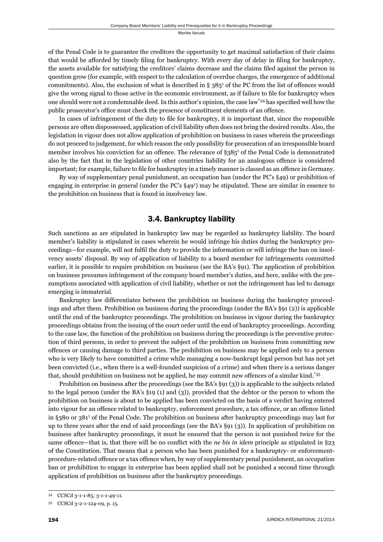of the Penal Code is to guarantee the creditors the opportunity to get maximal satisfaction of their claims that would be afforded by timely filing for bankruptcy. With every day of delay in filing for bankruptcy, the assets available for satisfying the creditors' claims decrease and the claims filed against the person in question grow (for example, with respect to the calculation of overdue charges, the emergence of additional commitments). Also, the exclusion of what is described in  $\S 385^1$  of the PC from the list of offences would give the wrong signal to those active in the economic environment, as if failure to file for bankruptcy when one should were not a condemnable deed. In this author's opinion, the case law<sup>\*34</sup> has specified well how the public prosecutor's office must check the presence of constituent elements of an offence.

In cases of infringement of the duty to file for bankruptcy, it is important that, since the responsible persons are often dispossessed, application of civil liability often does not bring the desired results. Also, the legislation in vigour does not allow application of prohibition on business in cases wherein the proceedings do not proceed to judgement, for which reason the only possibility for prosecution of an irresponsible board member involves his conviction for an offence. The relevance of §385<sup>1</sup> of the Penal Code is demonstrated also by the fact that in the legislation of other countries liability for an analogous offence is considered important; for example, failure to file for bankruptcy in a timely manner is classed as an offence in Germany.

By way of supplementary penal punishment, an occupation ban (under the PC's §49) or prohibition of engaging in enterprise in general (under the PC's §491 ) may be stipulated. These are similar in essence to the prohibition on business that is found in insolvency law.

#### 3.4. Bankruptcy liability

Such sanctions as are stipulated in bankruptcy law may be regarded as bankruptcy liability. The board member's liability is stipulated in cases wherein he would infringe his duties during the bankruptcy proceedings—for example, will not fulfi l the duty to provide the information or will infringe the ban on insolvency assets' disposal. By way of application of liability to a board member for infringements committed earlier, it is possible to require prohibition on business (see the BA's §91). The application of prohibition on business presumes infringe ment of the company board member's duties, and here, unlike with the presumptions associated with application of civil liability, whether or not the infringement has led to damage emerging is immaterial.

Bankruptcy law differentiates between the prohibition on business during the bankruptcy proceedings and after them. Prohibition on business during the proceedings (under the BA's §91 (2)) is applicable until the end of the bankruptcy proceedings. The prohibition on business in vigour during the bankruptcy proceedings obtains from the issuing of the court order until the end of bankruptcy proceedings. According to the case law, the function of the prohibition on business during the proceedings is the preventive protection of third persons, in order to prevent the subject of the prohibition on business from committing new offences or causing damage to third parties. The prohibition on business may be applied only to a person who is very likely to have committed a crime while managing a now-bankrupt legal person but has not yet been convicted (i.e., when there is a well-founded suspicion of a crime) and when there is a serious danger that, should prohibition on business not be applied, he may commit new offences of a similar kind.\*35

Prohibition on business after the proceedings (see the BA's §91 (3)) is applicable to the subjects related to the legal person (under the BA's §19 (1) and (3)), provided that the debtor or the person to whom the prohibition on business is about to be applied has been convicted on the basis of a verdict having entered into vigour for an offence related to bankruptcy, enforcement procedure, a tax offence, or an offence listed in §380 or 3811 of the Penal Code. The prohibition on business after bankruptcy proceedings may last for up to three years after the end of said proceedings (see the BA's §91 (3)). In application of prohibition on business after bankruptcy proceedings, it must be ensured that the person is not punished twice for the same offence—that is, that there will be no conflict with the *ne bis in idem* principle as stipulated in §23 of the Constitution. That means that a person who has been punished for a bankruptcy- or enforcementprocedure-related offence or a tax offence when, by way of supplementary penal punishment, an occupation ban or prohibition to engage in enterprise has been applied shall not be punished a second time through application of prohibition on business after the bankruptcy proceedings.

<sup>34</sup> CCSCd 3-1-1-85; 3-1-1-49-11.

<sup>35</sup> CCSCd 3-2-1-124-09, p. 15.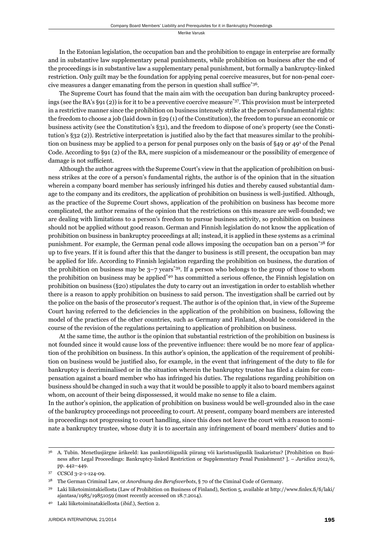In the Estonian legislation, the occupation ban and the prohibition to engage in enterprise are formally and in substantive law supplementary penal punishments, while prohibition on business after the end of the proceedings is in substantive law a supplementary penal punishment, but formally a bankruptcy-linked restriction. Only guilt may be the foundation for applying penal coercive measures, but for non-penal coercive measures a danger emanating from the person in question shall suffice<sup>\*36</sup>.

The Supreme Court has found that the main aim with the occupation ban during bankruptcy proceedings (see the BA's §91 (2)) is for it to be a preventive coercive measure\*37. This provision must be interpreted in a restrictive manner since the prohibition on business intensely strike at the person's fundamental rights: the freedom to choose a job (laid down in §29 (1) of the Constitution), the freedom to pursue an economic or business activity (see the Constitution's §31), and the freedom to dispose of one's property (see the Constitution's §32 (2)). Restrictive interpretation is justified also by the fact that measures similar to the prohibition on business may be applied to a person for penal purposes only on the basis of §49 or 49<sup>1</sup> of the Penal Code. According to §91 (2) of the BA, mere suspicion of a misdemeanour or the possibility of emergence of damage is not sufficient.

Although the author agrees with the Supreme Court's view in that the application of prohibition on business strikes at the core of a person's fundamental rights, the author is of the opinion that in the situation wherein a company board member has seriously infringed his duties and thereby caused substantial damage to the company and its creditors, the application of prohibition on business is well-justified. Although, as the practice of the Supreme Court shows, application of the prohibition on business has become more complicated, the author remains of the opinion that the restrictions on this measure are well-founded; we are dealing with limitations to a person's freedom to pursue business activity, so prohibition on business should not be applied without good reason. German and Finnish legislation do not know the application of prohibition on business in bankruptcy proceedings at all; instead, it is applied in these systems as a criminal punishment. For example, the German penal code allows imposing the occupation ban on a person\*38 for up to five years. If it is found after this that the danger to business is still present, the occupation ban may be applied for life. According to Finnish legislation regarding the prohibition on business, the duration of the prohibition on business may be  $3-7$  years<sup>\*39</sup>. If a person who belongs to the group of those to whom the prohibition on business may be applied<sup>\*40</sup> has committed a serious offence, the Finnish legislation on prohibition on business (§20) stipulates the duty to carry out an investigation in order to establish whether there is a reason to apply prohibition on business to said person. The investigation shall be carried out by the police on the basis of the prosecutor's request. The author is of the opinion that, in view of the Supreme Court having referred to the deficiencies in the application of the prohibition on business, following the model of the practices of the other countries, such as Germany and Finland, should be considered in the course of the revision of the regulations pertaining to application of prohibition on business.

At the same time, the author is the opinion that substantial restriction of the prohibition on business is not founded since it would cause loss of the preventive influence: there would be no more fear of application of the prohibition on business. In this author's opinion, the application of the requirement of prohibition on business would be justified also, for example, in the event that infringement of the duty to file for bankruptcy is decriminalised or in the situation wherein the bankruptcy trustee has filed a claim for compensation against a board member who has infringed his duties. The regulations regarding prohibition on business should be changed in such a way that it would be possible to apply it also to board members against whom, on account of their being dispossessed, it would make no sense to file a claim.

In the author's opinion, the application of prohibition on business would be well-grounded also in the case of the bankruptcy proceedings not proceeding to court. At present, company board members are interested in proceedings not progressing to court handling, since this does not leave the court with a reason to nominate a bankruptcy trustee, whose duty it is to ascertain any infringement of board members' duties and to

<sup>36</sup> A. Tubin. Menetlusjärgne ärikeeld: kas pankrotiõiguslik piirang või karistusõiguslik lisakaristus? [Prohibition on Business after Legal Proceedings: Bankruptcy-linked Restriction or Supplementary Penal Punishment? ]. – *Juridica* 2012/6, pp. 442–449.

CCSCd 3-2-1-124-09.

<sup>38</sup> The German Criminal Law, or *Anordnung des Berufsverbots*, § 70 of the Ciminal Code of Germany.

Laki liiketoimintakiellosta (Law of Prohibition on Business of Finland), Section 5, available at http://www.finlex.fi/fi/laki/ ajantasa/1985/19851059 (most recently accessed on 18.7.2014).

<sup>40</sup> Laki liiketoiminatakiellosta (*ibid*.), Section 2.